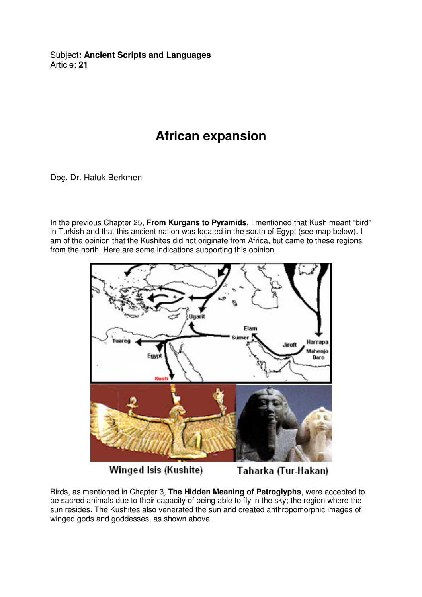Subject**: Ancient Scripts and Languages**  Article: **21**

## **African expansion**

Doç. Dr. Haluk Berkmen

In the previous Chapter 25, **From Kurgans to Pyramids**, I mentioned that Kush meant "bird" in Turkish and that this ancient nation was located in the south of Egypt (see map below). I am of the opinion that the Kushites did not originate from Africa, but came to these regions from the north. Here are some indications supporting this opinion.



Winged Isis (Kushite)

Taharka (Tur-Hakan)

Birds, as mentioned in Chapter 3, **The Hidden Meaning of Petroglyphs**, were accepted to be sacred animals due to their capacity of being able to fly in the sky; the region where the sun resides. The Kushites also venerated the sun and created anthropomorphic images of winged gods and goddesses, as shown above.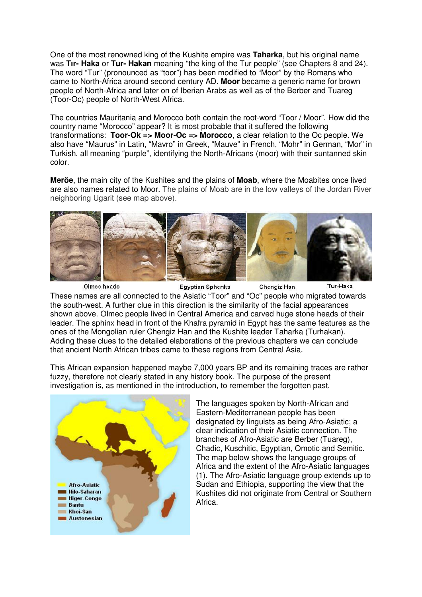One of the most renowned king of the Kushite empire was **Taharka**, but his original name was **Tır- Haka** or **Tur- Hakan** meaning "the king of the Tur people" (see Chapters 8 and 24). The word "Tur" (pronounced as "toor") has been modified to "Moor" by the Romans who came to North-Africa around second century AD. **Moor** became a generic name for brown people of North-Africa and later on of Iberian Arabs as well as of the Berber and Tuareg (Toor-Oc) people of North-West Africa.

The countries Mauritania and Morocco both contain the root-word "Toor / Moor". How did the country name "Morocco" appear? It is most probable that it suffered the following transformations: **Toor-Ok => Moor-Oc => Morocco**, a clear relation to the Oc people. We also have "Maurus" in Latin, "Mavro" in Greek, "Mauve" in French, "Mohr" in German, "Mor" in Turkish, all meaning "purple", identifying the North-Africans (moor) with their suntanned skin color.

**Meröe**, the main city of the Kushites and the plains of **Moab**, where the Moabites once lived are also names related to Moor. The plains of Moab are in the low valleys of the Jordan River neighboring Ugarit (see map above).



Olmec heads **Egyptian Sphenks** Chengiz Han Tur-Haka These names are all connected to the Asiatic "Toor" and "Oc" people who migrated towards the south-west. A further clue in this direction is the similarity of the facial appearances shown above. Olmec people lived in Central America and carved huge stone heads of their leader. The sphinx head in front of the Khafra pyramid in Egypt has the same features as the ones of the Mongolian ruler Chengiz Han and the Kushite leader Taharka (Turhakan). Adding these clues to the detailed elaborations of the previous chapters we can conclude that ancient North African tribes came to these regions from Central Asia.

This African expansion happened maybe 7,000 years BP and its remaining traces are rather fuzzy, therefore not clearly stated in any history book. The purpose of the present investigation is, as mentioned in the introduction, to remember the forgotten past.



The languages spoken by North-African and Eastern-Mediterranean people has been designated by linguists as being Afro-Asiatic; a clear indication of their Asiatic connection. The branches of Afro-Asiatic are Berber (Tuareg), Chadic, Kuschitic, Egyptian, Omotic and Semitic. The map below shows the language groups of Africa and the extent of the Afro-Asiatic languages (1). The Afro-Asiatic language group extends up to Sudan and Ethiopia, supporting the view that the Kushites did not originate from Central or Southern Africa.